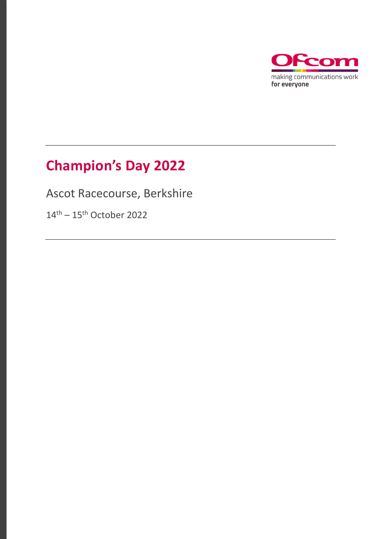

### **Champion's Day 2022**

Ascot Racecourse, Berkshire

14<sup>th</sup> – 15<sup>th</sup> October 2022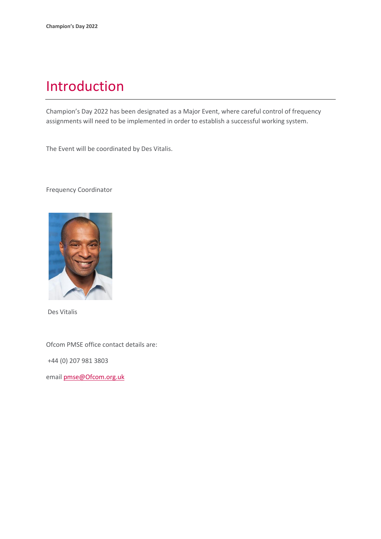### Introduction

Champion's Day 2022 has been designated as a Major Event, where careful control of frequency assignments will need to be implemented in order to establish a successful working system.

The Event will be coordinated by Des Vitalis.

Frequency Coordinator



Des Vitalis

Ofcom PMSE office contact details are:

+44 (0) 207 981 3803

email [pmse@Ofcom.org.uk](mailto:pmse@arqiva.com)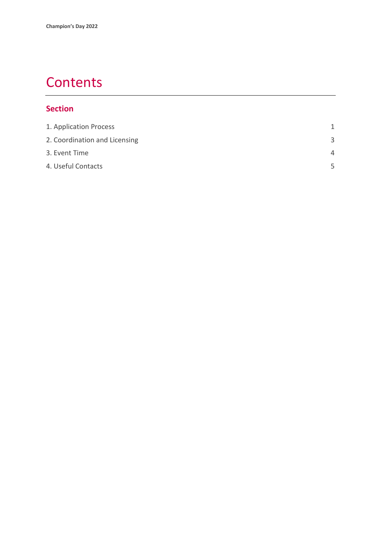### **Contents**

#### **Section**

| 1. Application Process        | 1        |
|-------------------------------|----------|
| 2. Coordination and Licensing | 3        |
| 3. Event Time                 | $\Delta$ |
| 4. Useful Contacts            | 5        |
|                               |          |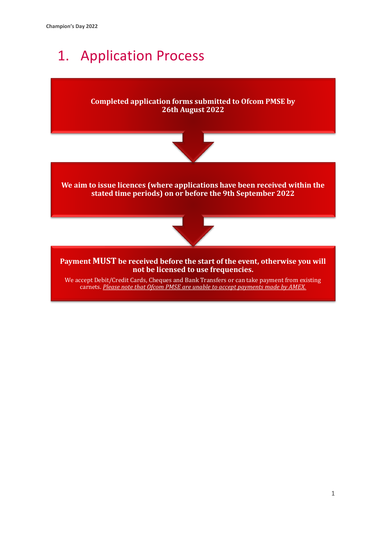# 1. Application Process



carnets. *Please note that Ofcom PMSE are unable to accept payments made by AMEX.*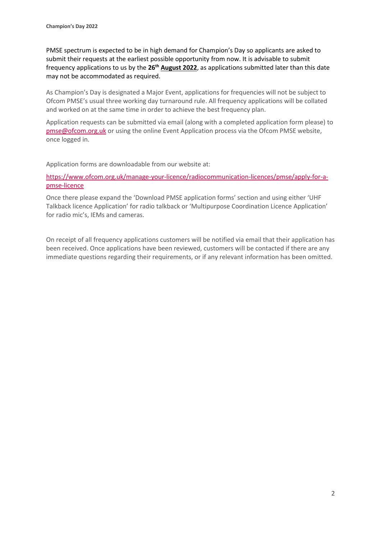PMSE spectrum is expected to be in high demand for Champion's Day so applicants are asked to submit their requests at the earliest possible opportunity from now. It is advisable to submit frequency applications to us by the **26th August 2022**, as applications submitted later than this date may not be accommodated as required.

As Champion's Day is designated a Major Event, applications for frequencies will not be subject to Ofcom PMSE's usual three working day turnaround rule. All frequency applications will be collated and worked on at the same time in order to achieve the best frequency plan.

Application requests can be submitted via email (along with a completed application form please) to [pmse@ofcom.org.uk](mailto:pmse@ofcom.org.uk) or using the online Event Application process via the Ofcom PMSE website, once logged in.

Application forms are downloadable from our website at:

[https://www.ofcom.org.uk/manage-your-licence/radiocommunication-licences/pmse/apply-for-a](https://www.ofcom.org.uk/manage-your-licence/radiocommunication-licences/pmse/apply-for-a-pmse-licence)[pmse-licence](https://www.ofcom.org.uk/manage-your-licence/radiocommunication-licences/pmse/apply-for-a-pmse-licence)

Once there please expand the 'Download PMSE application forms' section and using either 'UHF Talkback licence Application' for radio talkback or 'Multipurpose Coordination Licence Application' for radio mic's, IEMs and cameras.

On receipt of all frequency applications customers will be notified via email that their application has been received. Once applications have been reviewed, customers will be contacted if there are any immediate questions regarding their requirements, or if any relevant information has been omitted.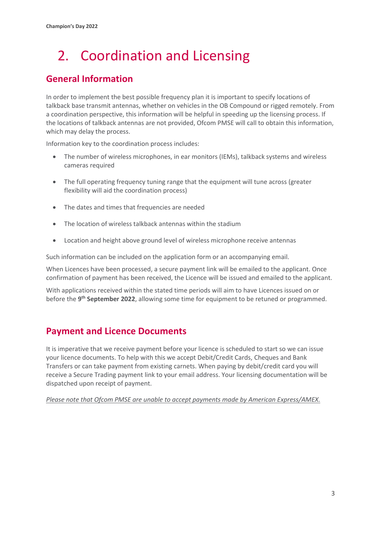# <span id="page-5-0"></span>2. Coordination and Licensing

### **General Information**

In order to implement the best possible frequency plan it is important to specify locations of talkback base transmit antennas, whether on vehicles in the OB Compound or rigged remotely. From a coordination perspective, this information will be helpful in speeding up the licensing process. If the locations of talkback antennas are not provided, Ofcom PMSE will call to obtain this information, which may delay the process.

Information key to the coordination process includes:

- The number of wireless microphones, in ear monitors (IEMs), talkback systems and wireless cameras required
- The full operating frequency tuning range that the equipment will tune across (greater flexibility will aid the coordination process)
- The dates and times that frequencies are needed
- The location of wireless talkback antennas within the stadium
- Location and height above ground level of wireless microphone receive antennas

Such information can be included on the application form or an accompanying email.

When Licences have been processed, a secure payment link will be emailed to the applicant. Once confirmation of payment has been received, the Licence will be issued and emailed to the applicant.

With applications received within the stated time periods will aim to have Licences issued on or before the 9<sup>th</sup> September 2022, allowing some time for equipment to be retuned or programmed.

#### **Payment and Licence Documents**

It is imperative that we receive payment before your licence is scheduled to start so we can issue your licence documents. To help with this we accept Debit/Credit Cards, Cheques and Bank Transfers or can take payment from existing carnets. When paying by debit/credit card you will receive a Secure Trading payment link to your email address. Your licensing documentation will be dispatched upon receipt of payment.

*Please note that Ofcom PMSE are unable to accept payments made by American Express/AMEX.*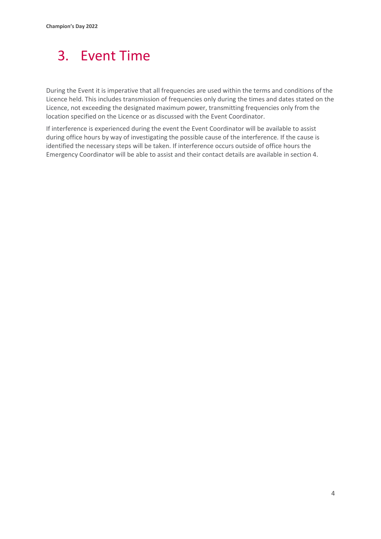## <span id="page-6-0"></span>3. Event Time

During the Event it is imperative that all frequencies are used within the terms and conditions of the Licence held. This includes transmission of frequencies only during the times and dates stated on the Licence, not exceeding the designated maximum power, transmitting frequencies only from the location specified on the Licence or as discussed with the Event Coordinator.

If interference is experienced during the event the Event Coordinator will be available to assist during office hours by way of investigating the possible cause of the interference. If the cause is identified the necessary steps will be taken. If interference occurs outside of office hours the Emergency Coordinator will be able to assist and their contact details are available in section 4.